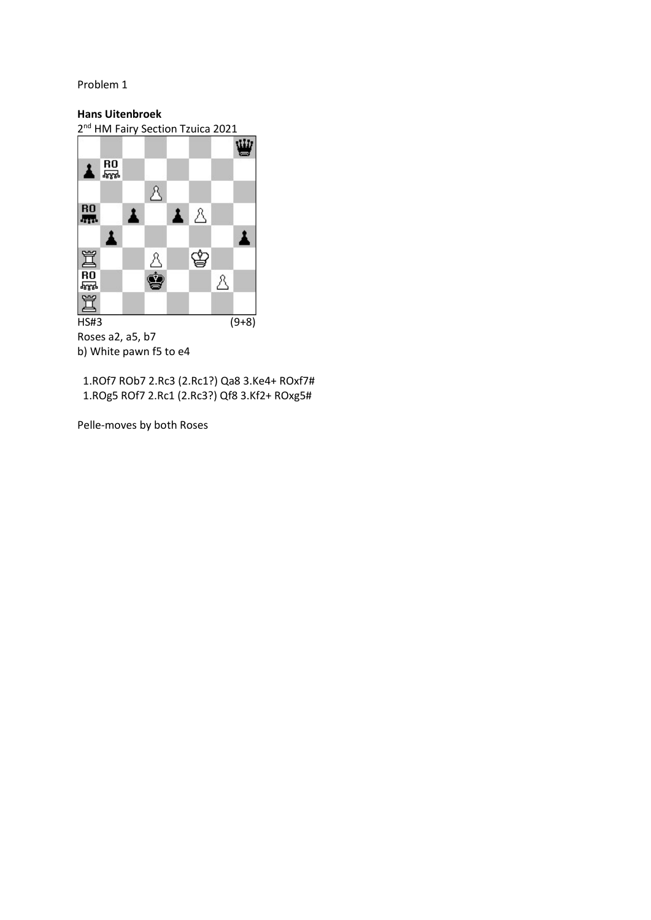## Hans Uitenbroek

2<sup>nd</sup> HM Fairy Section Tzuica 2021



Roses a2, a5, b7 b) White pawn f5 to e4

 1.ROf7 ROb7 2.Rc3 (2.Rc1?) Qa8 3.Ke4+ ROxf7# 1.ROg5 ROf7 2.Rc1 (2.Rc3?) Qf8 3.Kf2+ ROxg5#

Pelle-moves by both Roses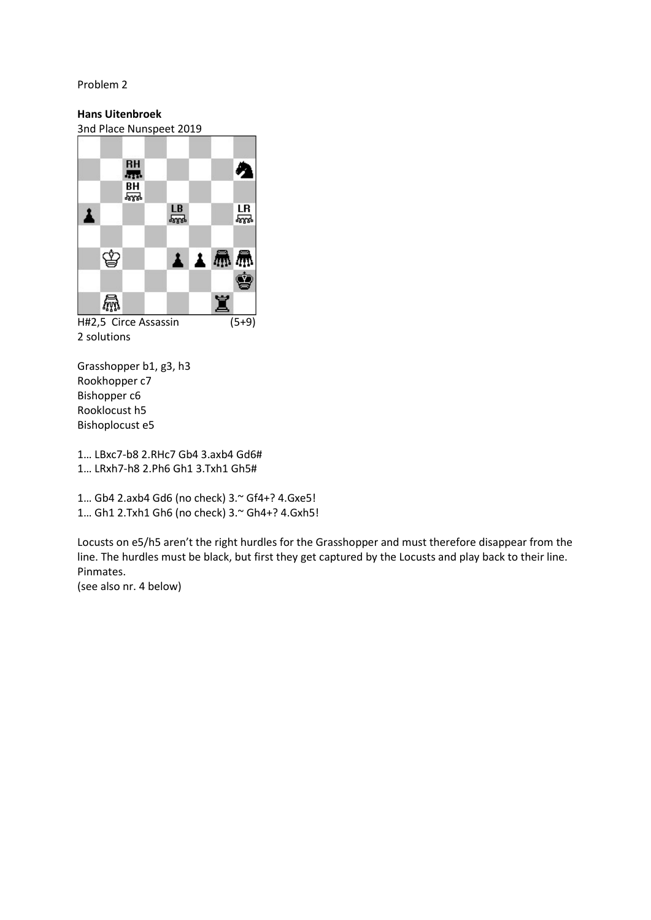## Hans Uitenbroek

3nd Place Nunspeet 2019



2 solutions

Grasshopper b1, g3, h3 Rookhopper c7 Bishopper c6 Rooklocust h5 Bishoplocust e5

1… LBxc7-b8 2.RHc7 Gb4 3.axb4 Gd6# 1… LRxh7-h8 2.Ph6 Gh1 3.Txh1 Gh5#

1… Gb4 2.axb4 Gd6 (no check) 3.~ Gf4+? 4.Gxe5! 1… Gh1 2.Txh1 Gh6 (no check) 3.~ Gh4+? 4.Gxh5!

Locusts on e5/h5 aren't the right hurdles for the Grasshopper and must therefore disappear from the line. The hurdles must be black, but first they get captured by the Locusts and play back to their line. Pinmates.

(see also nr. 4 below)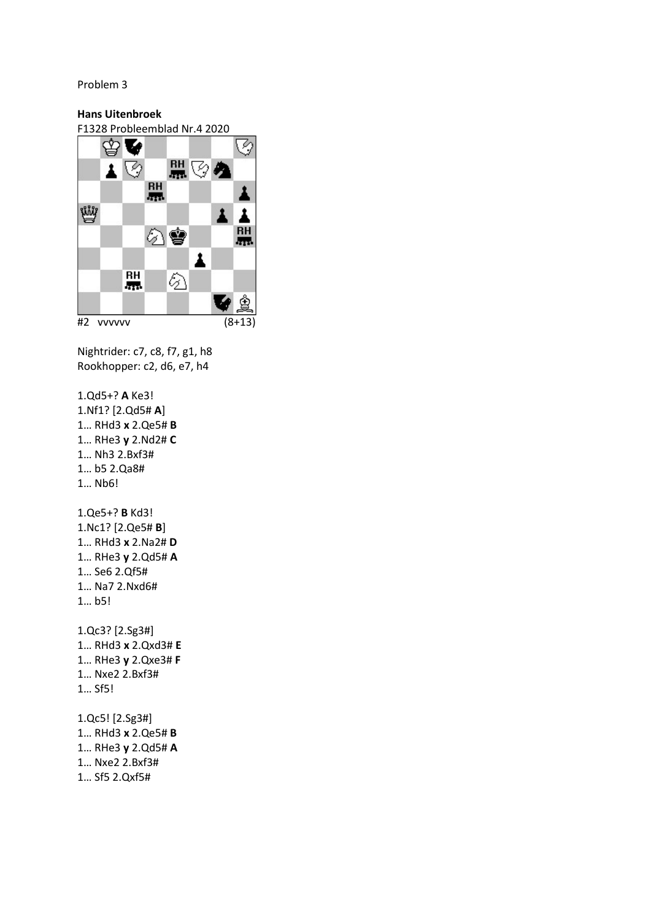## Hans Uitenbroek

F1328 Probleemblad Nr.4 2020



Nightrider: c7, c8, f7, g1, h8 Rookhopper: c2, d6, e7, h4

1.Qd5+? A Ke3! 1.Nf1? [2.Qd5# A] 1… RHd3 x 2.Qe5# B 1… RHe3 y 2.Nd2# C 1… Nh3 2.Bxf3# 1… b5 2.Qa8# 1… Nb6! 1.Qe5+? B Kd3! 1.Nc1? [2.Qe5# B] 1… RHd3 x 2.Na2# D 1… RHe3 y 2.Qd5# A 1… Se6 2.Qf5# 1… Na7 2.Nxd6# 1… b5! 1.Qc3? [2.Sg3#] 1… RHd3 x 2.Qxd3# E 1… RHe3 y 2.Qxe3# F 1… Nxe2 2.Bxf3# 1… Sf5! 1.Qc5! [2.Sg3#] 1… RHd3 x 2.Qe5# B 1… RHe3 y 2.Qd5# A 1… Nxe2 2.Bxf3#

1… Sf5 2.Qxf5#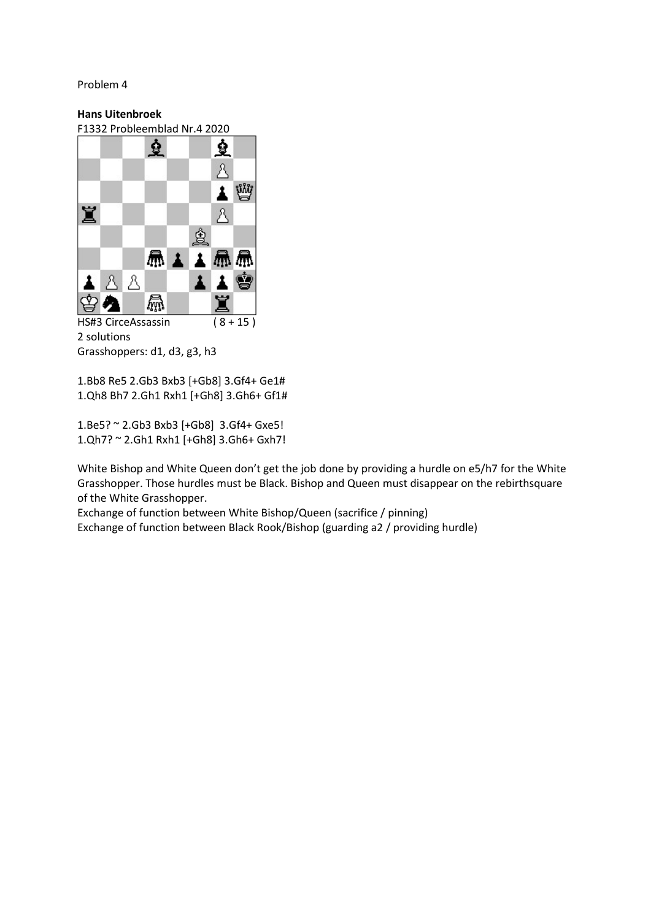## Hans Uitenbroek

F1332 Probleemblad Nr.4 2020



<sup>2</sup> solutions Grasshoppers: d1, d3, g3, h3

1.Bb8 Re5 2.Gb3 Bxb3 [+Gb8] 3.Gf4+ Ge1# 1.Qh8 Bh7 2.Gh1 Rxh1 [+Gh8] 3.Gh6+ Gf1#

1.Be5? ~ 2.Gb3 Bxb3 [+Gb8] 3.Gf4+ Gxe5! 1.Qh7? ~ 2.Gh1 Rxh1 [+Gh8] 3.Gh6+ Gxh7!

White Bishop and White Queen don't get the job done by providing a hurdle on e5/h7 for the White Grasshopper. Those hurdles must be Black. Bishop and Queen must disappear on the rebirthsquare of the White Grasshopper.

Exchange of function between White Bishop/Queen (sacrifice / pinning) Exchange of function between Black Rook/Bishop (guarding a2 / providing hurdle)